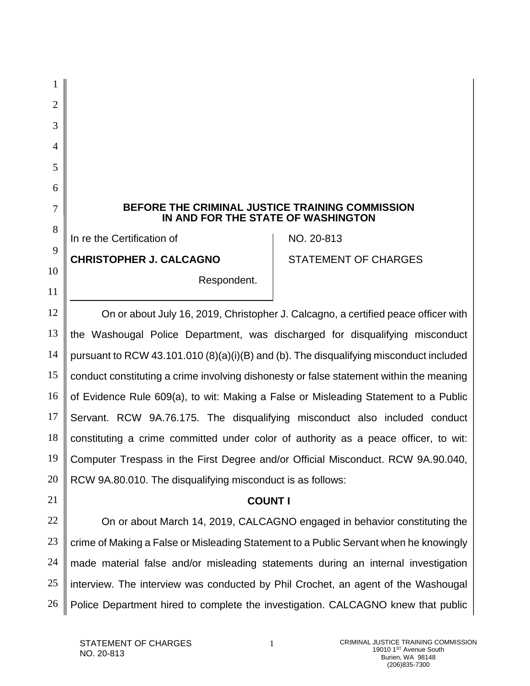| BEFORE THE CRIMINAL JUSTICE TRAINING COMMISSION<br>7<br>IN AND FOR THE STATE OF WASHINGTON    |                                                                           |
|-----------------------------------------------------------------------------------------------|---------------------------------------------------------------------------|
| In re the Certification of                                                                    | NO. 20-813                                                                |
|                                                                                               | <b>STATEMENT OF CHARGES</b>                                               |
|                                                                                               |                                                                           |
|                                                                                               |                                                                           |
| 12<br>On or about July 16, 2019, Christopher J. Calcagno, a certified peace officer with      |                                                                           |
| 13<br>the Washougal Police Department, was discharged for disqualifying misconduct            |                                                                           |
| 14<br>pursuant to RCW 43.101.010 (8)(a)(i)(B) and (b). The disqualifying misconduct included  |                                                                           |
| 15<br>conduct constituting a crime involving dishonesty or false statement within the meaning |                                                                           |
| 16<br>of Evidence Rule 609(a), to wit: Making a False or Misleading Statement to a Public     |                                                                           |
| 17<br>Servant. RCW 9A.76.175. The disqualifying misconduct also included conduct              |                                                                           |
| 18<br>constituting a crime committed under color of authority as a peace officer, to wit:     |                                                                           |
| 19<br>Computer Trespass in the First Degree and/or Official Misconduct. RCW 9A.90.040,        |                                                                           |
| 20<br>RCW 9A.80.010. The disqualifying misconduct is as follows:                              |                                                                           |
| 21<br><b>COUNT I</b>                                                                          |                                                                           |
|                                                                                               | On or about March 14, 2019, CALCAGNO engaged in behavior constituting the |
| 23<br>crime of Making a False or Misleading Statement to a Public Servant when he knowingly   |                                                                           |
| 24<br>made material false and/or misleading statements during an internal investigation       |                                                                           |
|                                                                                               |                                                                           |
| interview. The interview was conducted by Phil Crochet, an agent of the Washougal             |                                                                           |
|                                                                                               | <b>CHRISTOPHER J. CALCAGNO</b><br>Respondent.                             |